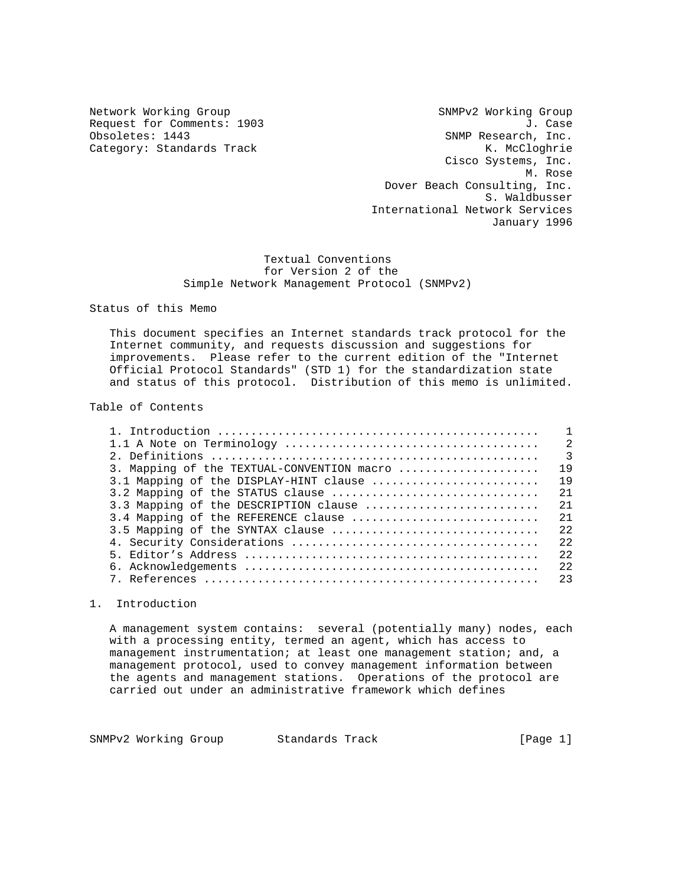Network Working Group SNMPv2 Working Group Request for Comments: 1903 [199] J. Case [199] J. Case [199] J. Case [199] J. Case [199] J. Case [199] J. Case [199] J. Case [199] J. Case [199] J. Case [199] J. Case [199] J. Case [199] J. Case [199] J. Case [199] J. Case SNMP Research, Inc. Category: Standards Track K. McCloghrie Cisco Systems, Inc. M. Rose Dover Beach Consulting, Inc. S. Waldbusser International Network Services January 1996

# Textual Conventions for Version 2 of the Simple Network Management Protocol (SNMPv2)

Status of this Memo

 This document specifies an Internet standards track protocol for the Internet community, and requests discussion and suggestions for improvements. Please refer to the current edition of the "Internet Official Protocol Standards" (STD 1) for the standardization state and status of this protocol. Distribution of this memo is unlimited.

Table of Contents

|                                            | $\mathcal{L}$ |
|--------------------------------------------|---------------|
|                                            | $\mathcal{E}$ |
| 3. Mapping of the TEXTUAL-CONVENTION macro | 19            |
| 3.1 Mapping of the DISPLAY-HINT clause     | 19            |
| 3.2 Mapping of the STATUS clause           | 21            |
| 3.3 Mapping of the DESCRIPTION clause      | 2.1           |
| 3.4 Mapping of the REFERENCE clause        | 2.1           |
| 3.5 Mapping of the SYNTAX clause           | 2.2.          |
|                                            | 2.2           |
|                                            | 2.2.          |
|                                            | 2.2           |
|                                            | 23            |

### 1. Introduction

 A management system contains: several (potentially many) nodes, each with a processing entity, termed an agent, which has access to management instrumentation; at least one management station; and, a management protocol, used to convey management information between the agents and management stations. Operations of the protocol are carried out under an administrative framework which defines

SNMPv2 Working Group Standards Track [Page 1]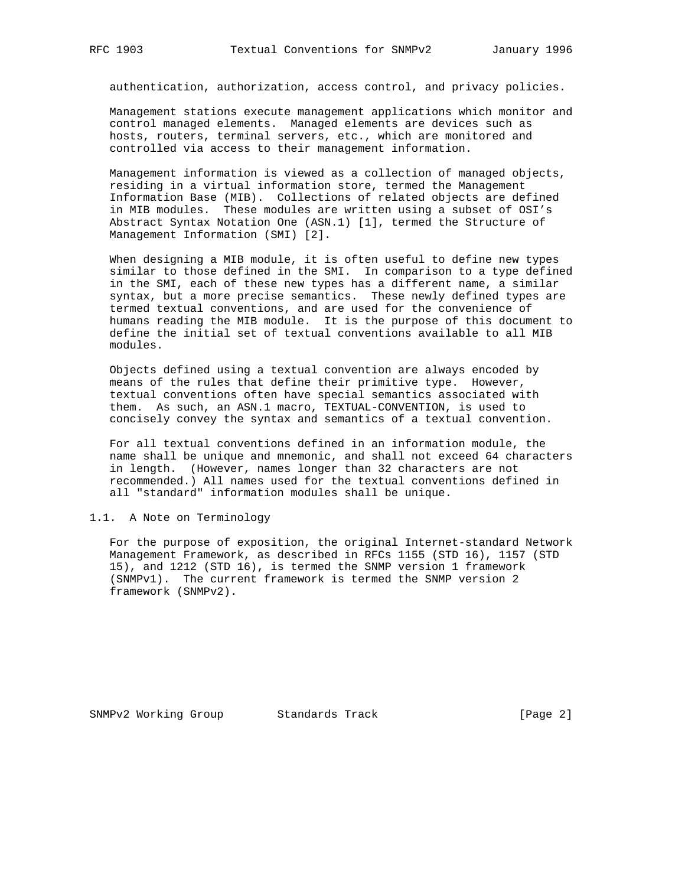authentication, authorization, access control, and privacy policies.

 Management stations execute management applications which monitor and control managed elements. Managed elements are devices such as hosts, routers, terminal servers, etc., which are monitored and controlled via access to their management information.

 Management information is viewed as a collection of managed objects, residing in a virtual information store, termed the Management Information Base (MIB). Collections of related objects are defined in MIB modules. These modules are written using a subset of OSI's Abstract Syntax Notation One (ASN.1) [1], termed the Structure of Management Information (SMI) [2].

 When designing a MIB module, it is often useful to define new types similar to those defined in the SMI. In comparison to a type defined in the SMI, each of these new types has a different name, a similar syntax, but a more precise semantics. These newly defined types are termed textual conventions, and are used for the convenience of humans reading the MIB module. It is the purpose of this document to define the initial set of textual conventions available to all MIB modules.

 Objects defined using a textual convention are always encoded by means of the rules that define their primitive type. However, textual conventions often have special semantics associated with them. As such, an ASN.1 macro, TEXTUAL-CONVENTION, is used to concisely convey the syntax and semantics of a textual convention.

 For all textual conventions defined in an information module, the name shall be unique and mnemonic, and shall not exceed 64 characters in length. (However, names longer than 32 characters are not recommended.) All names used for the textual conventions defined in all "standard" information modules shall be unique.

## 1.1. A Note on Terminology

 For the purpose of exposition, the original Internet-standard Network Management Framework, as described in RFCs 1155 (STD 16), 1157 (STD 15), and 1212 (STD 16), is termed the SNMP version 1 framework (SNMPv1). The current framework is termed the SNMP version 2 framework (SNMPv2).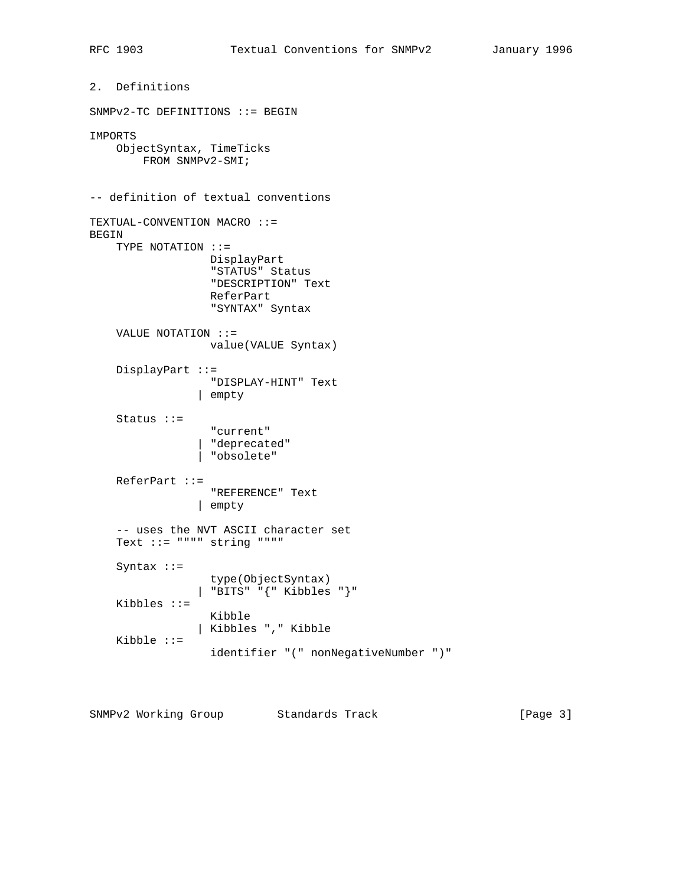2. Definitions SNMPv2-TC DEFINITIONS ::= BEGIN IMPORTS ObjectSyntax, TimeTicks FROM SNMPv2-SMI; -- definition of textual conventions TEXTUAL-CONVENTION MACRO ::= BEGIN TYPE NOTATION ::= DisplayPart "STATUS" Status "DESCRIPTION" Text ReferPart "SYNTAX" Syntax VALUE NOTATION ::= value(VALUE Syntax) DisplayPart ::= "DISPLAY-HINT" Text | empty Status ::= "current" | "deprecated" | "obsolete" ReferPart ::= "REFERENCE" Text | empty -- uses the NVT ASCII character set Text ::= """" string """" Syntax ::= type(ObjectSyntax) | "BITS" "{" Kibbles "}" Kibbles ::= Kibble | Kibbles "," Kibble Kibble ::= identifier "(" nonNegativeNumber ")"

SNMPv2 Working Group Standards Track [Page 3]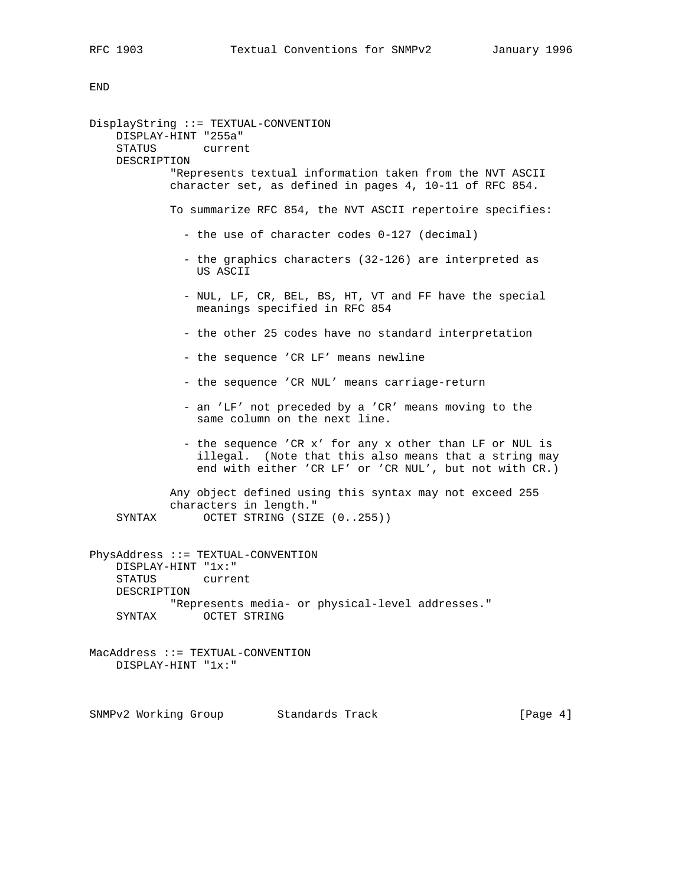END

DisplayString ::= TEXTUAL-CONVENTION DISPLAY-HINT "255a" STATUS current DESCRIPTION "Represents textual information taken from the NVT ASCII character set, as defined in pages 4, 10-11 of RFC 854. To summarize RFC 854, the NVT ASCII repertoire specifies: - the use of character codes 0-127 (decimal) - the graphics characters (32-126) are interpreted as US ASCII - NUL, LF, CR, BEL, BS, HT, VT and FF have the special meanings specified in RFC 854 - the other 25 codes have no standard interpretation - the sequence 'CR LF' means newline - the sequence 'CR NUL' means carriage-return - an 'LF' not preceded by a 'CR' means moving to the same column on the next line. - the sequence 'CR x' for any x other than LF or NUL is illegal. (Note that this also means that a string may end with either 'CR LF' or 'CR NUL', but not with CR.) Any object defined using this syntax may not exceed 255 characters in length." SYNTAX OCTET STRING (SIZE (0..255)) PhysAddress ::= TEXTUAL-CONVENTION DISPLAY-HINT "1x:" STATUS current DESCRIPTION "Represents media- or physical-level addresses." SYNTAX OCTET STRING MacAddress ::= TEXTUAL-CONVENTION DISPLAY-HINT "1x:"

SNMPv2 Working Group Standards Track [Page 4]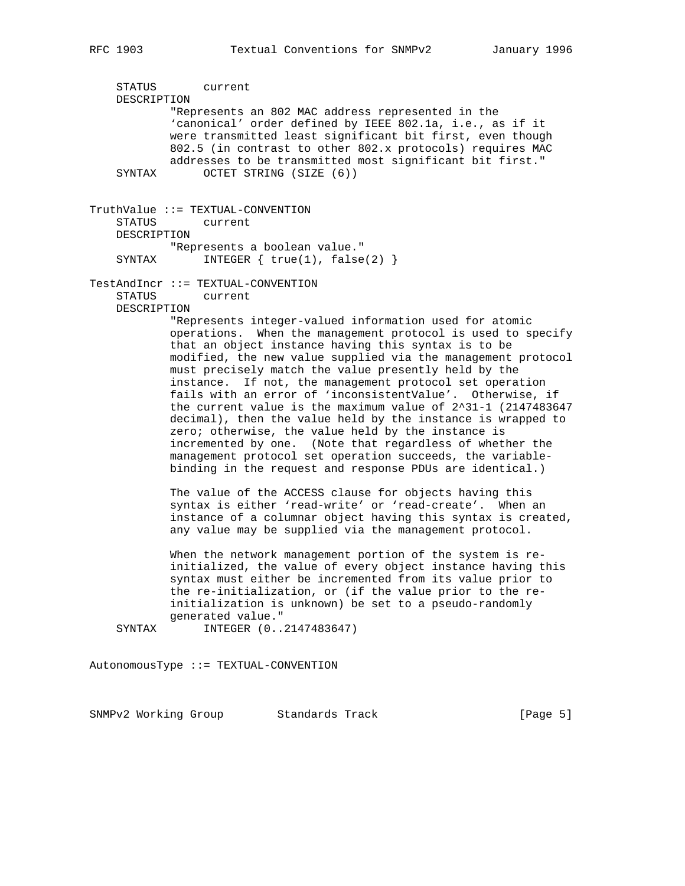STATUS current DESCRIPTION "Represents an 802 MAC address represented in the 'canonical' order defined by IEEE 802.1a, i.e., as if it were transmitted least significant bit first, even though 802.5 (in contrast to other 802.x protocols) requires MAC addresses to be transmitted most significant bit first." SYNTAX OCTET STRING (SIZE (6)) TruthValue ::= TEXTUAL-CONVENTION STATUS current DESCRIPTION "Represents a boolean value." SYNTAX INTEGER { true(1), false(2) } TestAndIncr ::= TEXTUAL-CONVENTION STATUS current DESCRIPTION "Represents integer-valued information used for atomic operations. When the management protocol is used to specify that an object instance having this syntax is to be modified, the new value supplied via the management protocol must precisely match the value presently held by the instance. If not, the management protocol set operation fails with an error of 'inconsistentValue'. Otherwise, if the current value is the maximum value of 2^31-1 (2147483647 decimal), then the value held by the instance is wrapped to zero; otherwise, the value held by the instance is incremented by one. (Note that regardless of whether the management protocol set operation succeeds, the variable binding in the request and response PDUs are identical.) The value of the ACCESS clause for objects having this syntax is either 'read-write' or 'read-create'. When an instance of a columnar object having this syntax is created, any value may be supplied via the management protocol. When the network management portion of the system is re initialized, the value of every object instance having this syntax must either be incremented from its value prior to the re-initialization, or (if the value prior to the re initialization is unknown) be set to a pseudo-randomly generated value." SYNTAX INTEGER (0..2147483647)

AutonomousType ::= TEXTUAL-CONVENTION

SNMPv2 Working Group Standards Track [Page 5]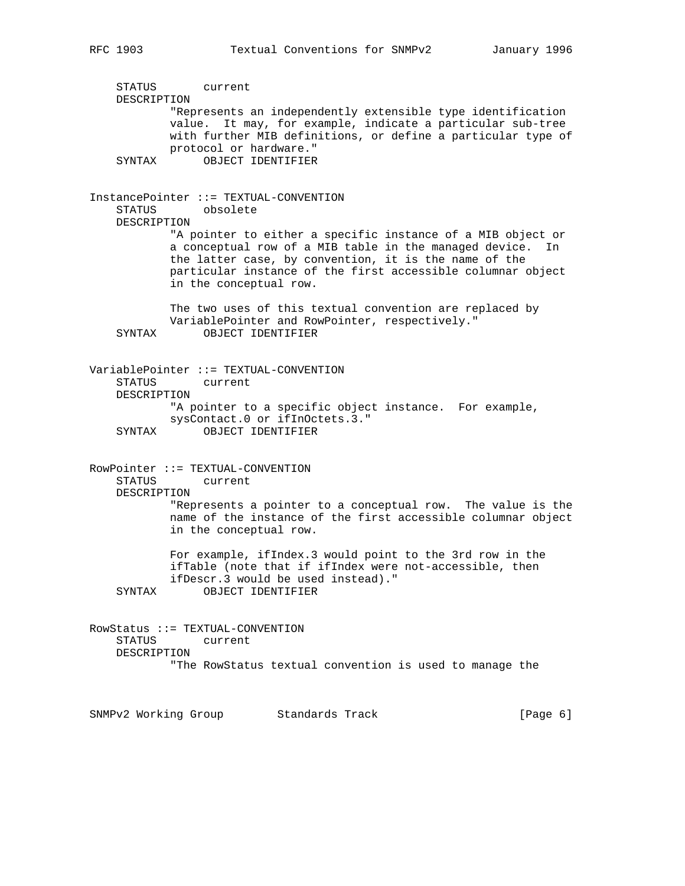STATUS current DESCRIPTION "Represents an independently extensible type identification value. It may, for example, indicate a particular sub-tree with further MIB definitions, or define a particular type of protocol or hardware."<br>SYNTAX OBJECT IDENTIFIER OBJECT IDENTIFIER InstancePointer ::= TEXTUAL-CONVENTION STATUS obsolete DESCRIPTION "A pointer to either a specific instance of a MIB object or a conceptual row of a MIB table in the managed device. In the latter case, by convention, it is the name of the particular instance of the first accessible columnar object in the conceptual row. The two uses of this textual convention are replaced by VariablePointer and RowPointer, respectively." SYNTAX OBJECT IDENTIFIER VariablePointer ::= TEXTUAL-CONVENTION STATUS current DESCRIPTION "A pointer to a specific object instance. For example, sysContact.0 or ifInOctets.3." SYNTAX OBJECT IDENTIFIER RowPointer ::= TEXTUAL-CONVENTION STATUS current DESCRIPTION "Represents a pointer to a conceptual row. The value is the name of the instance of the first accessible columnar object in the conceptual row. For example, ifIndex.3 would point to the 3rd row in the ifTable (note that if ifIndex were not-accessible, then ifDescr.3 would be used instead)." SYNTAX OBJECT IDENTIFIER RowStatus ::= TEXTUAL-CONVENTION STATUS current DESCRIPTION "The RowStatus textual convention is used to manage the

SNMPv2 Working Group Standards Track [Page 6]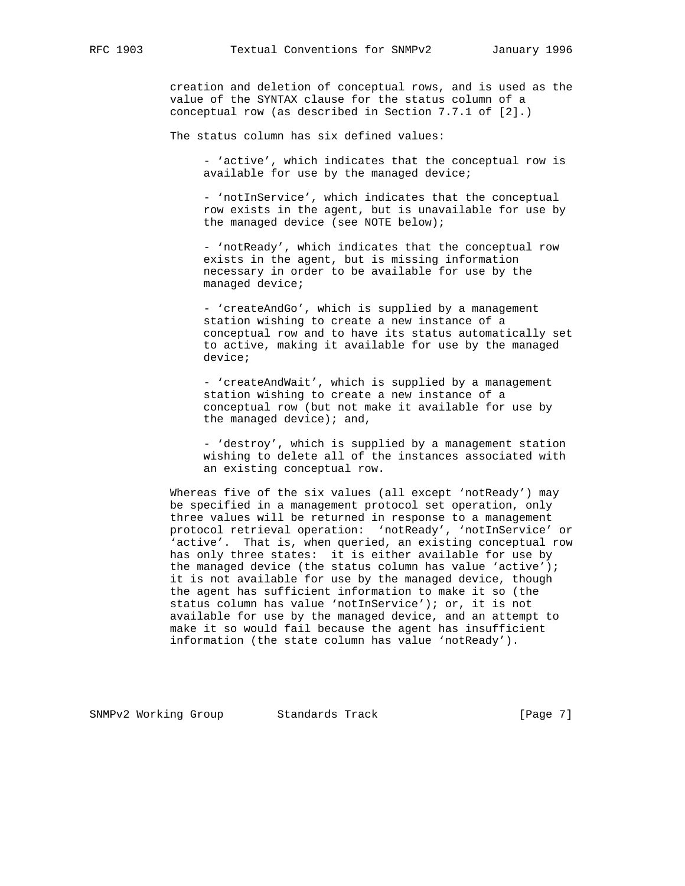creation and deletion of conceptual rows, and is used as the value of the SYNTAX clause for the status column of a conceptual row (as described in Section 7.7.1 of [2].)

The status column has six defined values:

 - 'active', which indicates that the conceptual row is available for use by the managed device;

 - 'notInService', which indicates that the conceptual row exists in the agent, but is unavailable for use by the managed device (see NOTE below);

 - 'notReady', which indicates that the conceptual row exists in the agent, but is missing information necessary in order to be available for use by the managed device;

 - 'createAndGo', which is supplied by a management station wishing to create a new instance of a conceptual row and to have its status automatically set to active, making it available for use by the managed device;

 - 'createAndWait', which is supplied by a management station wishing to create a new instance of a conceptual row (but not make it available for use by the managed device); and,

 - 'destroy', which is supplied by a management station wishing to delete all of the instances associated with an existing conceptual row.

 Whereas five of the six values (all except 'notReady') may be specified in a management protocol set operation, only three values will be returned in response to a management protocol retrieval operation: 'notReady', 'notInService' or 'active'. That is, when queried, an existing conceptual row has only three states: it is either available for use by the managed device (the status column has value 'active'); it is not available for use by the managed device, though the agent has sufficient information to make it so (the status column has value 'notInService'); or, it is not available for use by the managed device, and an attempt to make it so would fail because the agent has insufficient information (the state column has value 'notReady').

SNMPv2 Working Group Standards Track [Page 7]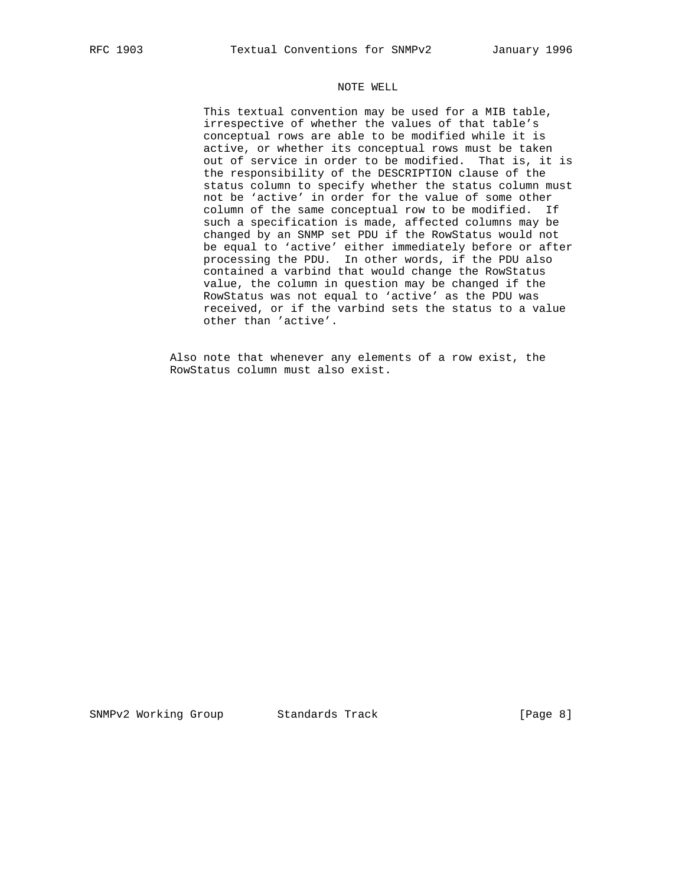# NOTE WELL

 This textual convention may be used for a MIB table, irrespective of whether the values of that table's conceptual rows are able to be modified while it is active, or whether its conceptual rows must be taken out of service in order to be modified. That is, it is the responsibility of the DESCRIPTION clause of the status column to specify whether the status column must not be 'active' in order for the value of some other column of the same conceptual row to be modified. If such a specification is made, affected columns may be changed by an SNMP set PDU if the RowStatus would not be equal to 'active' either immediately before or after processing the PDU. In other words, if the PDU also contained a varbind that would change the RowStatus value, the column in question may be changed if the RowStatus was not equal to 'active' as the PDU was received, or if the varbind sets the status to a value other than 'active'.

> Also note that whenever any elements of a row exist, the RowStatus column must also exist.

SNMPv2 Working Group Standards Track [Page 8]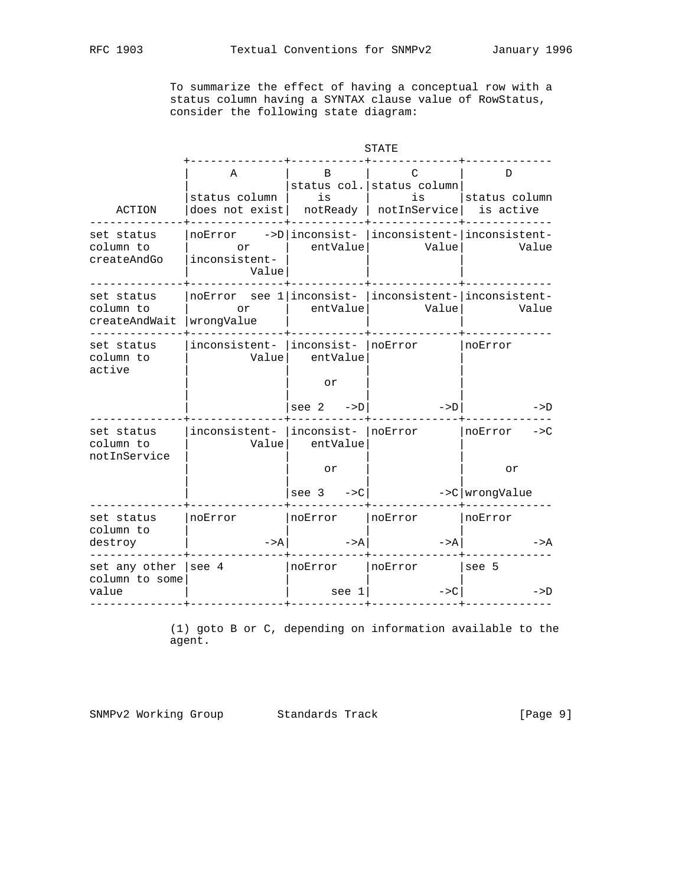To summarize the effect of having a conceptual row with a status column having a SYNTAX clause value of RowStatus, consider the following state diagram:

|                                                   | STATE                                                                                 |                                                                |                                      |                                             |  |
|---------------------------------------------------|---------------------------------------------------------------------------------------|----------------------------------------------------------------|--------------------------------------|---------------------------------------------|--|
| ACTION                                            | Α<br>status column<br>does not exist  notReady   notInService                         | B<br>is                                                        | C<br>status col. status column<br>is | D<br>status column<br>is active             |  |
| set status<br>column to<br>createAndGo            | $noError$ ->D inconsist-  inconsistent- inconsistent-<br>or<br>inconsistent-<br>Value | entValue                                                       | Value                                | Value                                       |  |
| set status<br>column to<br>createAndWait          | noError see 1 inconsist- inconsistent- inconsistent-<br>or.<br>wrongValue             | entValue                                                       | Value                                | Value                                       |  |
| set status<br>column to<br>active                 | inconsistent-  <br>Value                                                              | inconsist- InoError<br>entValue<br>or<br>see $2 \rightarrow D$ | $->D$                                | noError<br>$->D$                            |  |
| set status<br>column to<br>notInService           | inconsistent-  inconsist-  noError<br>Value                                           | entValue<br>or<br>see $3 \rightarrow C$                        |                                      | InoError<br>$->C$<br>or<br>->C   wrongValue |  |
| set status<br>column to<br>destroy                | noError<br>$->A$                                                                      | InoError<br>–>A∣                                               | InoError<br>$->A$                    | InoError<br>$->A$                           |  |
| set any other $ see 4$<br>column to some<br>value |                                                                                       | InoError<br>see $1$                                            | noError<br>$->C$                     | see 5<br>$->D$                              |  |

 (1) goto B or C, depending on information available to the agent.

SNMPv2 Working Group Standards Track [Page 9]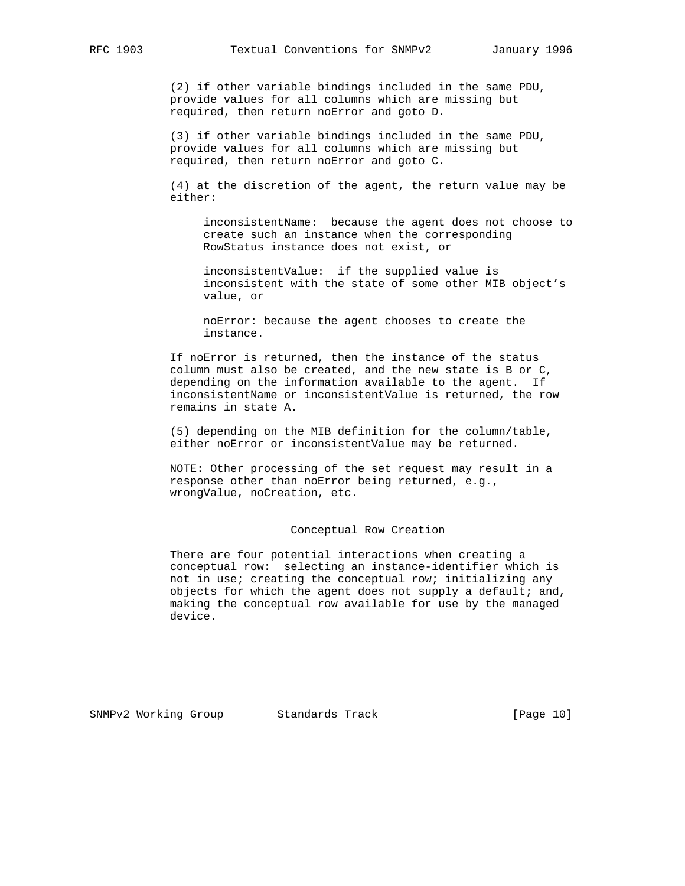(2) if other variable bindings included in the same PDU, provide values for all columns which are missing but required, then return noError and goto D.

 (3) if other variable bindings included in the same PDU, provide values for all columns which are missing but required, then return noError and goto C.

 (4) at the discretion of the agent, the return value may be either:

 inconsistentName: because the agent does not choose to create such an instance when the corresponding RowStatus instance does not exist, or

 inconsistentValue: if the supplied value is inconsistent with the state of some other MIB object's value, or

 noError: because the agent chooses to create the instance.

 If noError is returned, then the instance of the status column must also be created, and the new state is B or C, depending on the information available to the agent. If inconsistentName or inconsistentValue is returned, the row remains in state A.

 (5) depending on the MIB definition for the column/table, either noError or inconsistentValue may be returned.

 NOTE: Other processing of the set request may result in a response other than noError being returned, e.g., wrongValue, noCreation, etc.

### Conceptual Row Creation

 There are four potential interactions when creating a conceptual row: selecting an instance-identifier which is not in use; creating the conceptual row; initializing any objects for which the agent does not supply a default; and, making the conceptual row available for use by the managed device.

SNMPv2 Working Group Standards Track [Page 10]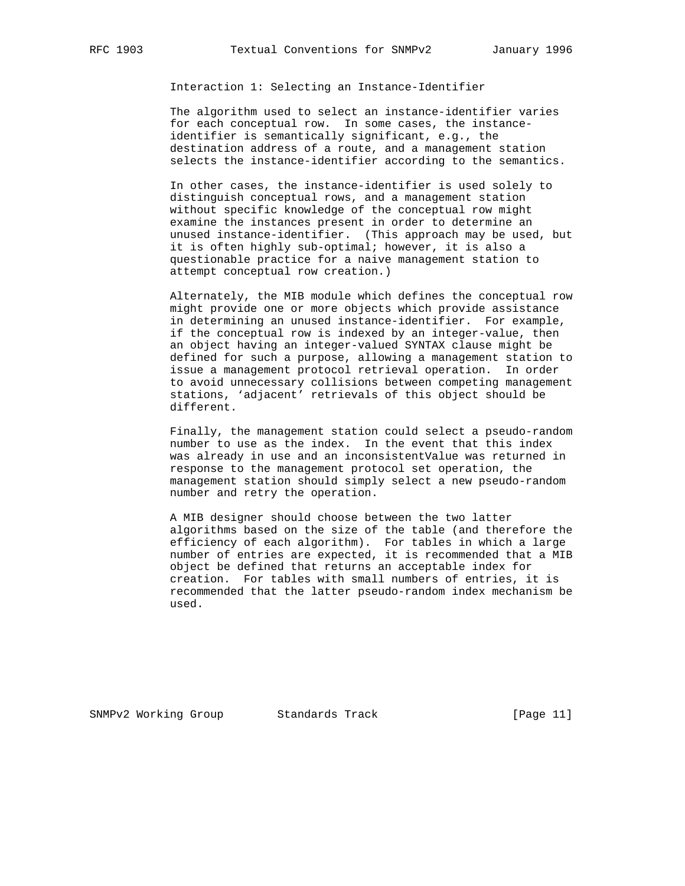Interaction 1: Selecting an Instance-Identifier

 The algorithm used to select an instance-identifier varies for each conceptual row. In some cases, the instance identifier is semantically significant, e.g., the destination address of a route, and a management station selects the instance-identifier according to the semantics.

 In other cases, the instance-identifier is used solely to distinguish conceptual rows, and a management station without specific knowledge of the conceptual row might examine the instances present in order to determine an unused instance-identifier. (This approach may be used, but it is often highly sub-optimal; however, it is also a questionable practice for a naive management station to attempt conceptual row creation.)

 Alternately, the MIB module which defines the conceptual row might provide one or more objects which provide assistance in determining an unused instance-identifier. For example, if the conceptual row is indexed by an integer-value, then an object having an integer-valued SYNTAX clause might be defined for such a purpose, allowing a management station to issue a management protocol retrieval operation. In order to avoid unnecessary collisions between competing management stations, 'adjacent' retrievals of this object should be different.

 Finally, the management station could select a pseudo-random number to use as the index. In the event that this index was already in use and an inconsistentValue was returned in response to the management protocol set operation, the management station should simply select a new pseudo-random number and retry the operation.

 A MIB designer should choose between the two latter algorithms based on the size of the table (and therefore the efficiency of each algorithm). For tables in which a large number of entries are expected, it is recommended that a MIB object be defined that returns an acceptable index for creation. For tables with small numbers of entries, it is recommended that the latter pseudo-random index mechanism be used.

SNMPv2 Working Group Standards Track [Page 11]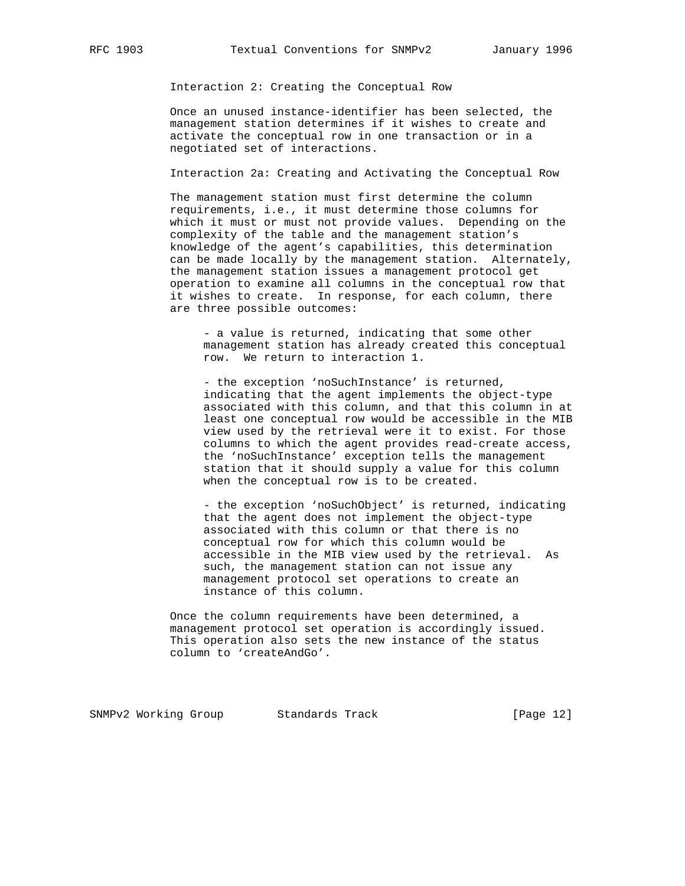Interaction 2: Creating the Conceptual Row

 Once an unused instance-identifier has been selected, the management station determines if it wishes to create and activate the conceptual row in one transaction or in a negotiated set of interactions.

Interaction 2a: Creating and Activating the Conceptual Row

 The management station must first determine the column requirements, i.e., it must determine those columns for which it must or must not provide values. Depending on the complexity of the table and the management station's knowledge of the agent's capabilities, this determination can be made locally by the management station. Alternately, the management station issues a management protocol get operation to examine all columns in the conceptual row that it wishes to create. In response, for each column, there are three possible outcomes:

 - a value is returned, indicating that some other management station has already created this conceptual row. We return to interaction 1.

 - the exception 'noSuchInstance' is returned, indicating that the agent implements the object-type associated with this column, and that this column in at least one conceptual row would be accessible in the MIB view used by the retrieval were it to exist. For those columns to which the agent provides read-create access, the 'noSuchInstance' exception tells the management station that it should supply a value for this column when the conceptual row is to be created.

 - the exception 'noSuchObject' is returned, indicating that the agent does not implement the object-type associated with this column or that there is no conceptual row for which this column would be accessible in the MIB view used by the retrieval. As such, the management station can not issue any management protocol set operations to create an instance of this column.

 Once the column requirements have been determined, a management protocol set operation is accordingly issued. This operation also sets the new instance of the status column to 'createAndGo'.

SNMPv2 Working Group Standards Track [Page 12]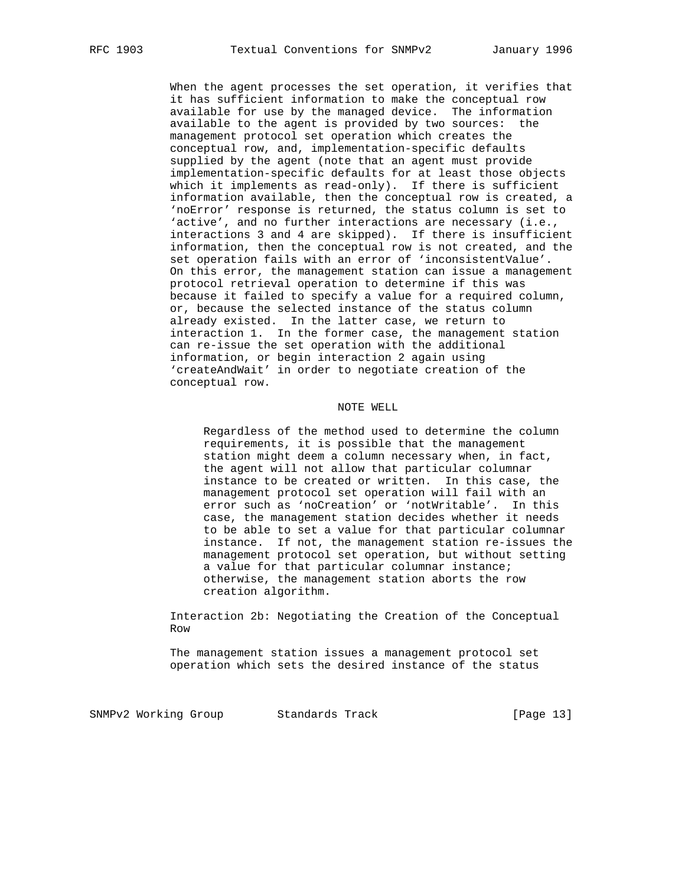When the agent processes the set operation, it verifies that it has sufficient information to make the conceptual row available for use by the managed device. The information available to the agent is provided by two sources: the management protocol set operation which creates the conceptual row, and, implementation-specific defaults supplied by the agent (note that an agent must provide implementation-specific defaults for at least those objects which it implements as read-only). If there is sufficient information available, then the conceptual row is created, a 'noError' response is returned, the status column is set to 'active', and no further interactions are necessary (i.e., interactions 3 and 4 are skipped). If there is insufficient information, then the conceptual row is not created, and the set operation fails with an error of 'inconsistentValue'. On this error, the management station can issue a management protocol retrieval operation to determine if this was because it failed to specify a value for a required column, or, because the selected instance of the status column already existed. In the latter case, we return to interaction 1. In the former case, the management station can re-issue the set operation with the additional information, or begin interaction 2 again using 'createAndWait' in order to negotiate creation of the conceptual row.

### NOTE WELL

 Regardless of the method used to determine the column requirements, it is possible that the management station might deem a column necessary when, in fact, the agent will not allow that particular columnar instance to be created or written. In this case, the management protocol set operation will fail with an error such as 'noCreation' or 'notWritable'. In this case, the management station decides whether it needs to be able to set a value for that particular columnar instance. If not, the management station re-issues the management protocol set operation, but without setting a value for that particular columnar instance; otherwise, the management station aborts the row creation algorithm.

 Interaction 2b: Negotiating the Creation of the Conceptual Row

 The management station issues a management protocol set operation which sets the desired instance of the status

SNMPv2 Working Group Standards Track [Page 13]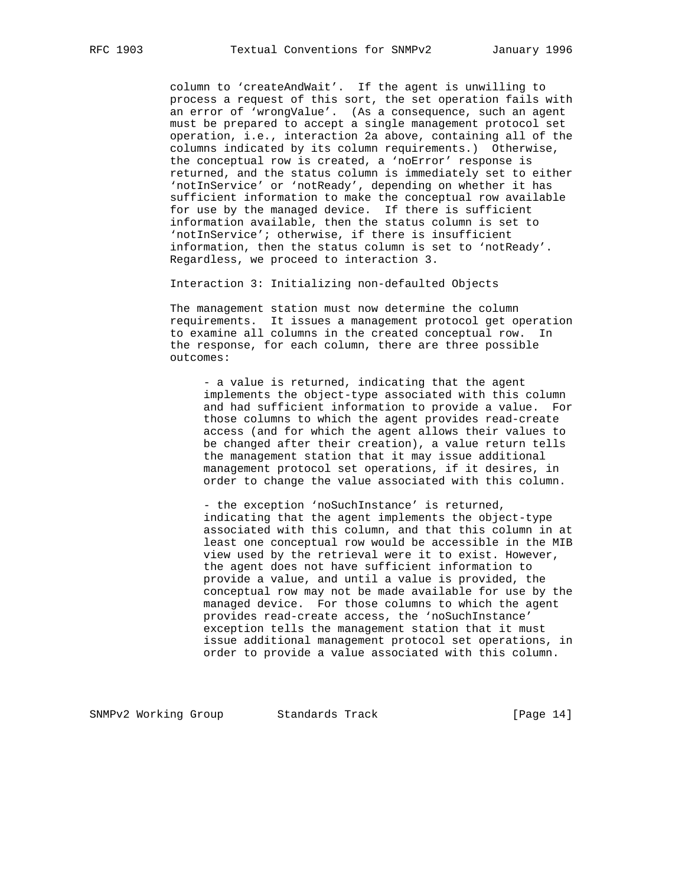column to 'createAndWait'. If the agent is unwilling to process a request of this sort, the set operation fails with an error of 'wrongValue'. (As a consequence, such an agent must be prepared to accept a single management protocol set operation, i.e., interaction 2a above, containing all of the columns indicated by its column requirements.) Otherwise, the conceptual row is created, a 'noError' response is returned, and the status column is immediately set to either 'notInService' or 'notReady', depending on whether it has sufficient information to make the conceptual row available for use by the managed device. If there is sufficient information available, then the status column is set to 'notInService'; otherwise, if there is insufficient information, then the status column is set to 'notReady'. Regardless, we proceed to interaction 3.

Interaction 3: Initializing non-defaulted Objects

 The management station must now determine the column requirements. It issues a management protocol get operation to examine all columns in the created conceptual row. In the response, for each column, there are three possible outcomes:

 - a value is returned, indicating that the agent implements the object-type associated with this column and had sufficient information to provide a value. For those columns to which the agent provides read-create access (and for which the agent allows their values to be changed after their creation), a value return tells the management station that it may issue additional management protocol set operations, if it desires, in order to change the value associated with this column.

 - the exception 'noSuchInstance' is returned, indicating that the agent implements the object-type associated with this column, and that this column in at least one conceptual row would be accessible in the MIB view used by the retrieval were it to exist. However, the agent does not have sufficient information to provide a value, and until a value is provided, the conceptual row may not be made available for use by the managed device. For those columns to which the agent provides read-create access, the 'noSuchInstance' exception tells the management station that it must issue additional management protocol set operations, in order to provide a value associated with this column.

SNMPv2 Working Group Standards Track [Page 14]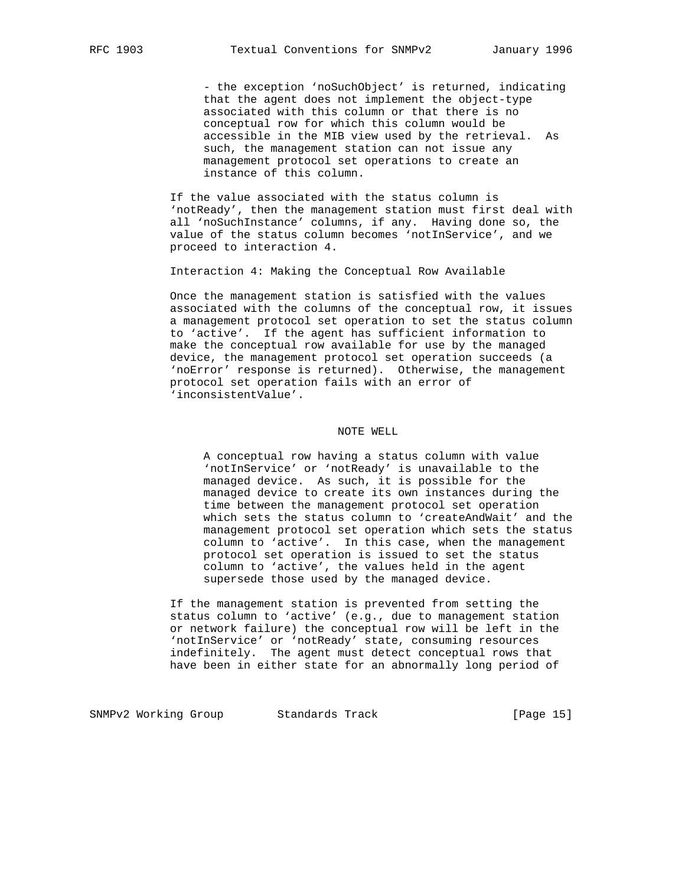- the exception 'noSuchObject' is returned, indicating that the agent does not implement the object-type associated with this column or that there is no conceptual row for which this column would be accessible in the MIB view used by the retrieval. As such, the management station can not issue any management protocol set operations to create an instance of this column.

 If the value associated with the status column is 'notReady', then the management station must first deal with all 'noSuchInstance' columns, if any. Having done so, the value of the status column becomes 'notInService', and we proceed to interaction 4.

Interaction 4: Making the Conceptual Row Available

 Once the management station is satisfied with the values associated with the columns of the conceptual row, it issues a management protocol set operation to set the status column to 'active'. If the agent has sufficient information to make the conceptual row available for use by the managed device, the management protocol set operation succeeds (a 'noError' response is returned). Otherwise, the management protocol set operation fails with an error of 'inconsistentValue'.

#### NOTE WELL

 A conceptual row having a status column with value 'notInService' or 'notReady' is unavailable to the managed device. As such, it is possible for the managed device to create its own instances during the time between the management protocol set operation which sets the status column to 'createAndWait' and the management protocol set operation which sets the status column to 'active'. In this case, when the management protocol set operation is issued to set the status column to 'active', the values held in the agent supersede those used by the managed device.

 If the management station is prevented from setting the status column to 'active' (e.g., due to management station or network failure) the conceptual row will be left in the 'notInService' or 'notReady' state, consuming resources indefinitely. The agent must detect conceptual rows that have been in either state for an abnormally long period of

SNMPv2 Working Group Standards Track [Page 15]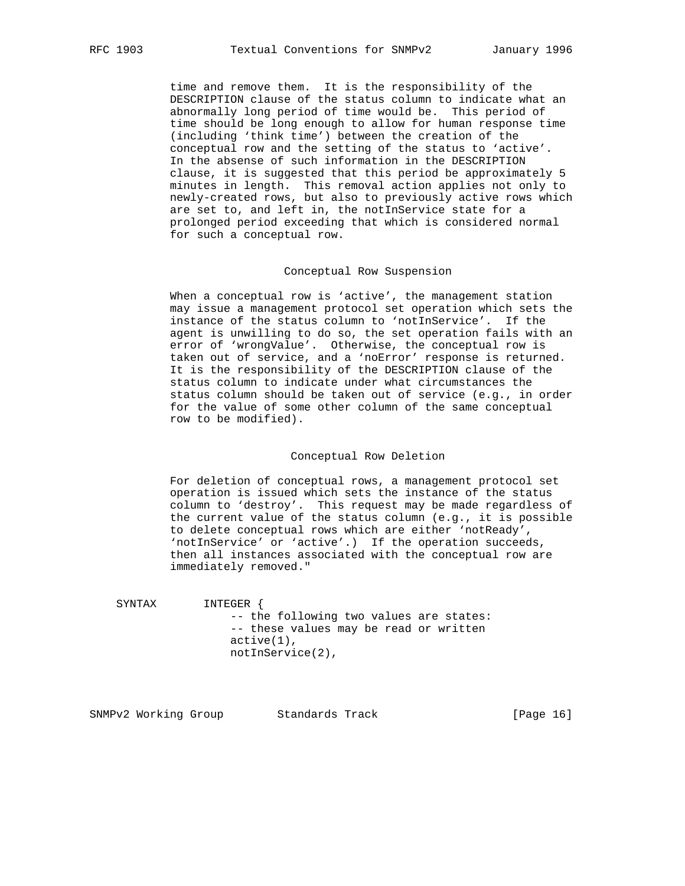time and remove them. It is the responsibility of the DESCRIPTION clause of the status column to indicate what an abnormally long period of time would be. This period of time should be long enough to allow for human response time (including 'think time') between the creation of the conceptual row and the setting of the status to 'active'. In the absense of such information in the DESCRIPTION clause, it is suggested that this period be approximately 5 minutes in length. This removal action applies not only to newly-created rows, but also to previously active rows which are set to, and left in, the notInService state for a prolonged period exceeding that which is considered normal for such a conceptual row.

### Conceptual Row Suspension

When a conceptual row is 'active', the management station may issue a management protocol set operation which sets the instance of the status column to 'notInService'. If the agent is unwilling to do so, the set operation fails with an error of 'wrongValue'. Otherwise, the conceptual row is taken out of service, and a 'noError' response is returned. It is the responsibility of the DESCRIPTION clause of the status column to indicate under what circumstances the status column should be taken out of service (e.g., in order for the value of some other column of the same conceptual row to be modified).

## Conceptual Row Deletion

 For deletion of conceptual rows, a management protocol set operation is issued which sets the instance of the status column to 'destroy'. This request may be made regardless of the current value of the status column (e.g., it is possible to delete conceptual rows which are either 'notReady', 'notInService' or 'active'.) If the operation succeeds, then all instances associated with the conceptual row are immediately removed."

 SYNTAX INTEGER { -- the following two values are states: -- these values may be read or written active(1), notInService(2),

SNMPv2 Working Group Standards Track [Page 16]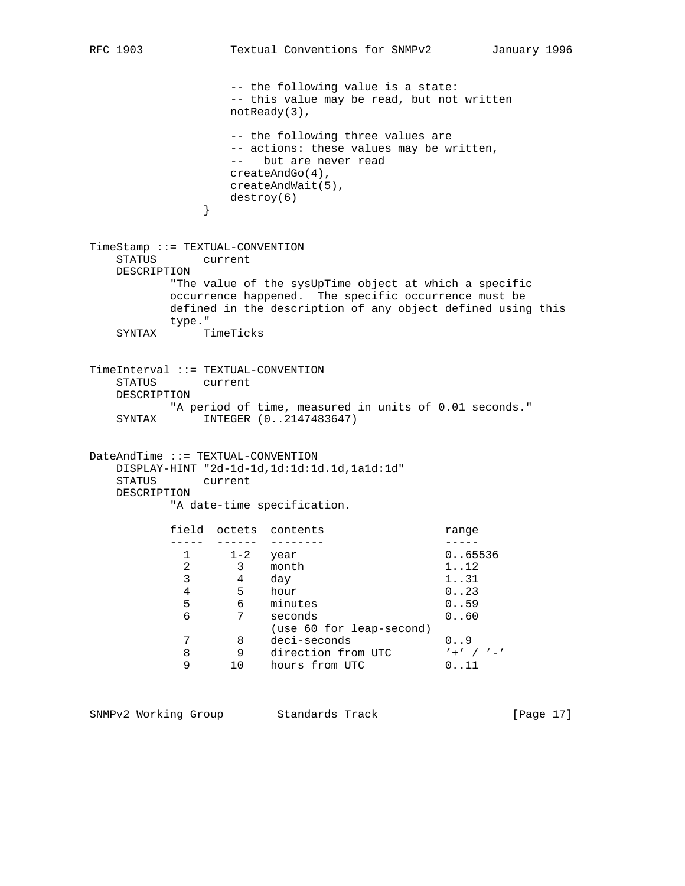-- this value may be read, but not written

```
 notReady(3),
                -- the following three values are
                 -- actions: these values may be written,
                -- but are never read
                createAndGo(4),
                createAndWait(5),
            destroy(6)<br>}
 }
TimeStamp ::= TEXTUAL-CONVENTION
    STATUS current
   DESCRIPTION
          "The value of the sysUpTime object at which a specific
         occurrence happened. The specific occurrence must be
         defined in the description of any object defined using this
         type."
    SYNTAX TimeTicks
TimeInterval ::= TEXTUAL-CONVENTION
   STATUS current
   DESCRIPTION
         "A period of time, measured in units of 0.01 seconds."
    SYNTAX INTEGER (0..2147483647)
DateAndTime ::= TEXTUAL-CONVENTION
   DISPLAY-HINT "2d-1d-1d,1d:1d:1d.1d,1a1d:1d"
   STATUS current
   DESCRIPTION
          "A date-time specification.
         field octets contents mange
          ----- ------ -------- -----
          1 1-2 year
          2 3 month 1..12<br>3 4 day 1..31
          3 4 day<br>4 5 hour
 4 5 hour 0..23
 5 6 minutes 0..59
 6 7 seconds 0..60
 (use 60 for leap-second)
 7 8 deci-seconds 0..9
8 9 direction from UTC ' +' / '-'
 9 10 hours from UTC 0..11
```

| SNMPv2 Working Group | Standards Track | [Page 17] |
|----------------------|-----------------|-----------|
|                      |                 |           |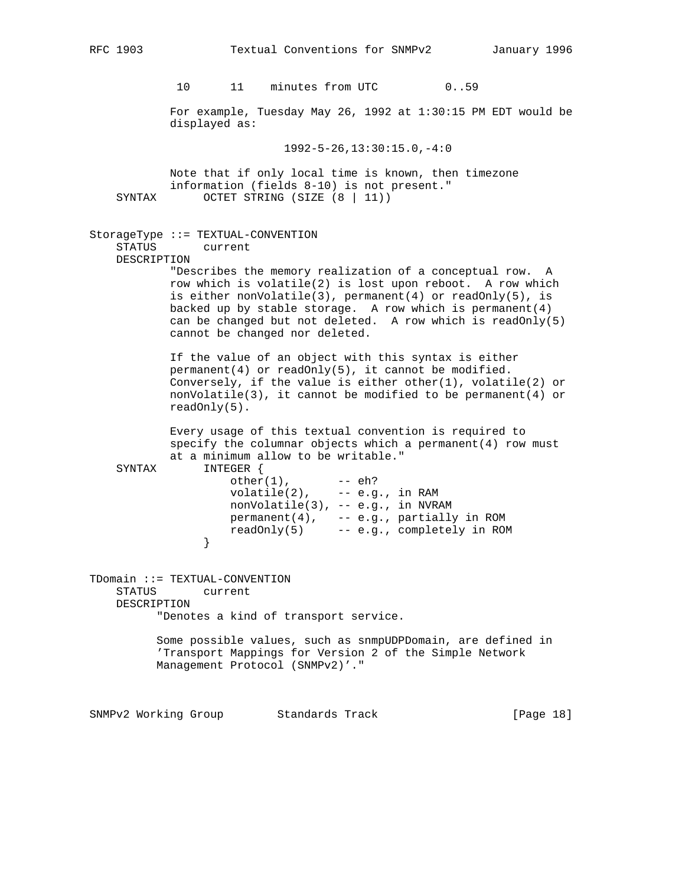RFC 1903 Textual Conventions for SNMPv2 January 1996

10 11 minutes from UTC 0..59

 For example, Tuesday May 26, 1992 at 1:30:15 PM EDT would be displayed as:

1992-5-26,13:30:15.0,-4:0

 Note that if only local time is known, then timezone information (fields 8-10) is not present." SYNTAX OCTET STRING (SIZE (8 | 11))

StorageType ::= TEXTUAL-CONVENTION STATUS current DESCRIPTION "Describes the memory realization of a conceptual row. A row which is volatile(2) is lost upon reboot. A row which is either nonVolatile(3), permanent(4) or readOnly(5), is backed up by stable storage. A row which is permanent(4) can be changed but not deleted. A row which is readOnly(5) cannot be changed nor deleted. If the value of an object with this syntax is either permanent(4) or readOnly(5), it cannot be modified. Conversely, if the value is either other(1), volatile(2) or nonVolatile(3), it cannot be modified to be permanent(4) or readOnly(5). Every usage of this textual convention is required to specify the columnar objects which a permanent(4) row must at a minimum allow to be writable." SYNTAX INTEGER {  $other(1)$ ,  $-- eh$ ? volatile(2), -- e.g., in RAM nonVolatile(3), -- e.g., in NVRAM permanent(4), -- e.g., partially in ROM readOnly(5) -- e.g., completely in ROM } TDomain ::= TEXTUAL-CONVENTION STATUS current DESCRIPTION "Denotes a kind of transport service. Some possible values, such as snmpUDPDomain, are defined in 'Transport Mappings for Version 2 of the Simple Network Management Protocol (SNMPv2)'."

SNMPv2 Working Group Standards Track [Page 18]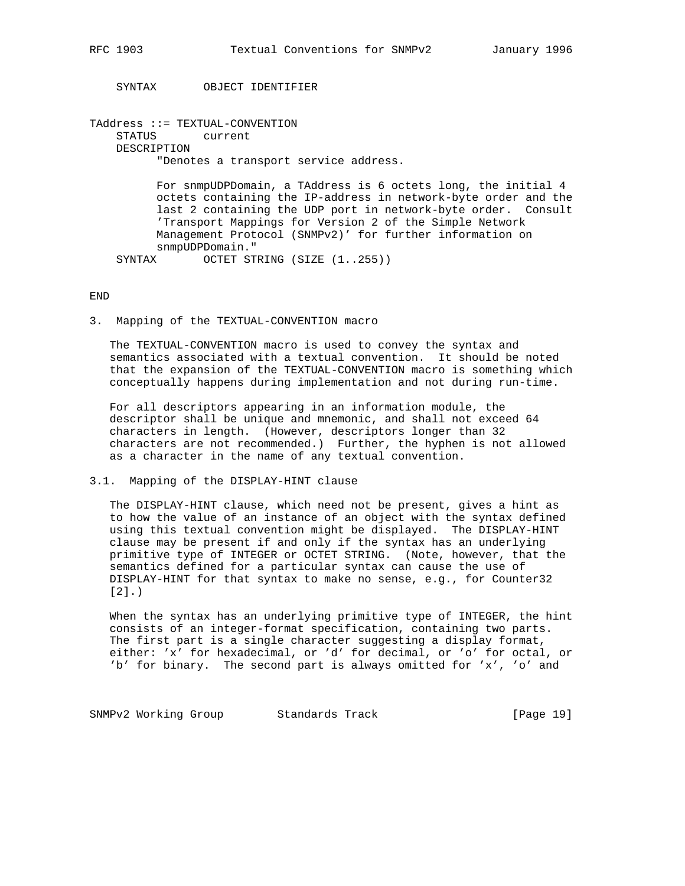SYNTAX OBJECT IDENTIFIER

TAddress ::= TEXTUAL-CONVENTION STATUS current DESCRIPTION "Denotes a transport service address.

 For snmpUDPDomain, a TAddress is 6 octets long, the initial 4 octets containing the IP-address in network-byte order and the last 2 containing the UDP port in network-byte order. Consult 'Transport Mappings for Version 2 of the Simple Network Management Protocol (SNMPv2)' for further information on snmpUDPDomain." SYNTAX OCTET STRING (SIZE  $(1..255)$ )

### END

3. Mapping of the TEXTUAL-CONVENTION macro

 The TEXTUAL-CONVENTION macro is used to convey the syntax and semantics associated with a textual convention. It should be noted that the expansion of the TEXTUAL-CONVENTION macro is something which conceptually happens during implementation and not during run-time.

 For all descriptors appearing in an information module, the descriptor shall be unique and mnemonic, and shall not exceed 64 characters in length. (However, descriptors longer than 32 characters are not recommended.) Further, the hyphen is not allowed as a character in the name of any textual convention.

3.1. Mapping of the DISPLAY-HINT clause

 The DISPLAY-HINT clause, which need not be present, gives a hint as to how the value of an instance of an object with the syntax defined using this textual convention might be displayed. The DISPLAY-HINT clause may be present if and only if the syntax has an underlying primitive type of INTEGER or OCTET STRING. (Note, however, that the semantics defined for a particular syntax can cause the use of DISPLAY-HINT for that syntax to make no sense, e.g., for Counter32 [2].)

 When the syntax has an underlying primitive type of INTEGER, the hint consists of an integer-format specification, containing two parts. The first part is a single character suggesting a display format, either: 'x' for hexadecimal, or 'd' for decimal, or 'o' for octal, or 'b' for binary. The second part is always omitted for 'x', 'o' and

SNMPv2 Working Group Standards Track [Page 19]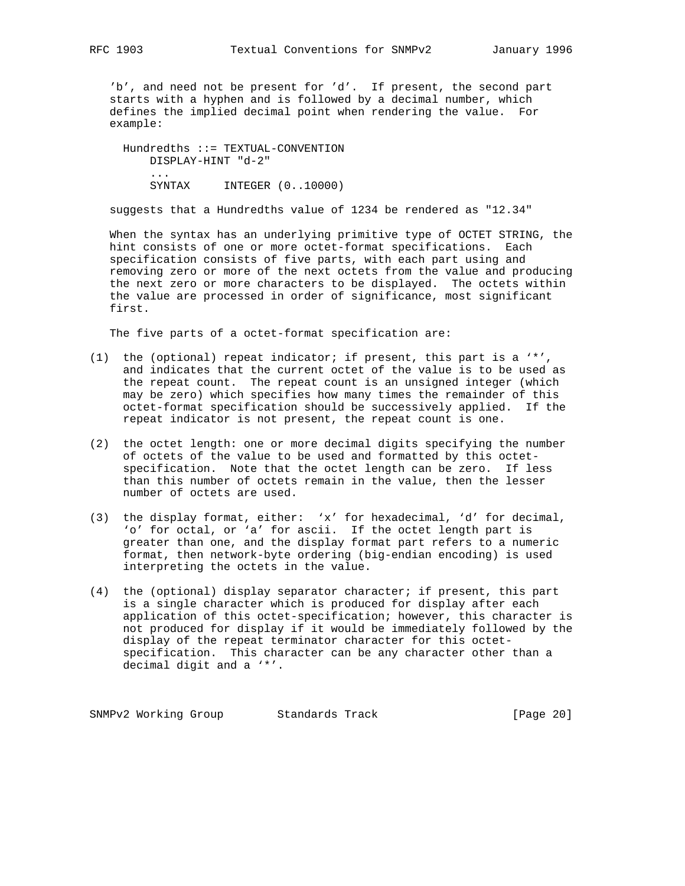'b', and need not be present for 'd'. If present, the second part starts with a hyphen and is followed by a decimal number, which defines the implied decimal point when rendering the value. For example:

 Hundredths ::= TEXTUAL-CONVENTION DISPLAY-HINT "d-2" ... SYNTAX INTEGER (0..10000)

suggests that a Hundredths value of 1234 be rendered as "12.34"

 When the syntax has an underlying primitive type of OCTET STRING, the hint consists of one or more octet-format specifications. Each specification consists of five parts, with each part using and removing zero or more of the next octets from the value and producing the next zero or more characters to be displayed. The octets within the value are processed in order of significance, most significant first.

The five parts of a octet-format specification are:

- (1) the (optional) repeat indicator; if present, this part is a '\*', and indicates that the current octet of the value is to be used as the repeat count. The repeat count is an unsigned integer (which may be zero) which specifies how many times the remainder of this octet-format specification should be successively applied. If the repeat indicator is not present, the repeat count is one.
- (2) the octet length: one or more decimal digits specifying the number of octets of the value to be used and formatted by this octet specification. Note that the octet length can be zero. If less than this number of octets remain in the value, then the lesser number of octets are used.
- (3) the display format, either: 'x' for hexadecimal, 'd' for decimal, 'o' for octal, or 'a' for ascii. If the octet length part is greater than one, and the display format part refers to a numeric format, then network-byte ordering (big-endian encoding) is used interpreting the octets in the value.
- (4) the (optional) display separator character; if present, this part is a single character which is produced for display after each application of this octet-specification; however, this character is not produced for display if it would be immediately followed by the display of the repeat terminator character for this octet specification. This character can be any character other than a decimal digit and a '\*'.

SNMPv2 Working Group Standards Track [Page 20]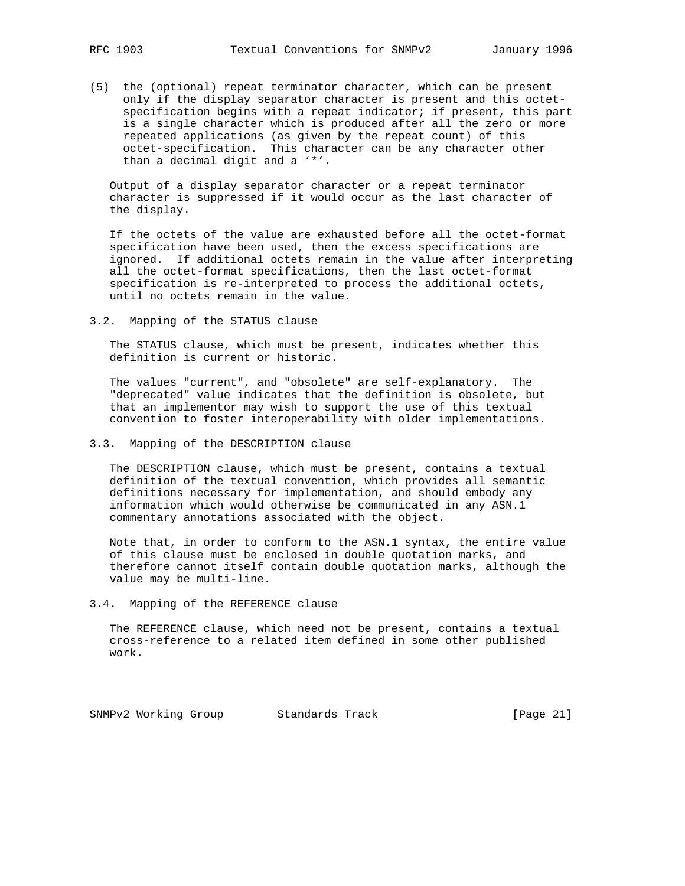(5) the (optional) repeat terminator character, which can be present only if the display separator character is present and this octet specification begins with a repeat indicator; if present, this part is a single character which is produced after all the zero or more repeated applications (as given by the repeat count) of this octet-specification. This character can be any character other than a decimal digit and a '\*'.

 Output of a display separator character or a repeat terminator character is suppressed if it would occur as the last character of the display.

 If the octets of the value are exhausted before all the octet-format specification have been used, then the excess specifications are ignored. If additional octets remain in the value after interpreting all the octet-format specifications, then the last octet-format specification is re-interpreted to process the additional octets, until no octets remain in the value.

3.2. Mapping of the STATUS clause

 The STATUS clause, which must be present, indicates whether this definition is current or historic.

 The values "current", and "obsolete" are self-explanatory. The "deprecated" value indicates that the definition is obsolete, but that an implementor may wish to support the use of this textual convention to foster interoperability with older implementations.

### 3.3. Mapping of the DESCRIPTION clause

 The DESCRIPTION clause, which must be present, contains a textual definition of the textual convention, which provides all semantic definitions necessary for implementation, and should embody any information which would otherwise be communicated in any ASN.1 commentary annotations associated with the object.

 Note that, in order to conform to the ASN.1 syntax, the entire value of this clause must be enclosed in double quotation marks, and therefore cannot itself contain double quotation marks, although the value may be multi-line.

3.4. Mapping of the REFERENCE clause

 The REFERENCE clause, which need not be present, contains a textual cross-reference to a related item defined in some other published work.

SNMPv2 Working Group Standards Track [Page 21]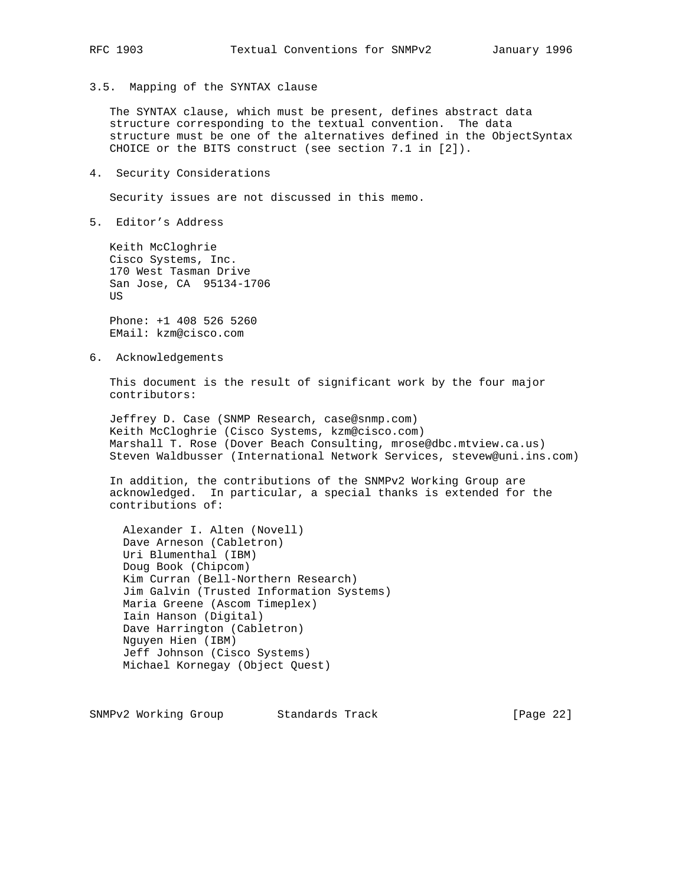3.5. Mapping of the SYNTAX clause

 The SYNTAX clause, which must be present, defines abstract data structure corresponding to the textual convention. The data structure must be one of the alternatives defined in the ObjectSyntax CHOICE or the BITS construct (see section 7.1 in [2]).

4. Security Considerations

Security issues are not discussed in this memo.

5. Editor's Address

 Keith McCloghrie Cisco Systems, Inc. 170 West Tasman Drive San Jose, CA 95134-1706 US

 Phone: +1 408 526 5260 EMail: kzm@cisco.com

6. Acknowledgements

 This document is the result of significant work by the four major contributors:

 Jeffrey D. Case (SNMP Research, case@snmp.com) Keith McCloghrie (Cisco Systems, kzm@cisco.com) Marshall T. Rose (Dover Beach Consulting, mrose@dbc.mtview.ca.us) Steven Waldbusser (International Network Services, stevew@uni.ins.com)

 In addition, the contributions of the SNMPv2 Working Group are acknowledged. In particular, a special thanks is extended for the contributions of:

 Alexander I. Alten (Novell) Dave Arneson (Cabletron) Uri Blumenthal (IBM) Doug Book (Chipcom) Kim Curran (Bell-Northern Research) Jim Galvin (Trusted Information Systems) Maria Greene (Ascom Timeplex) Iain Hanson (Digital) Dave Harrington (Cabletron) Nguyen Hien (IBM) Jeff Johnson (Cisco Systems) Michael Kornegay (Object Quest)

SNMPv2 Working Group Standards Track [Page 22]